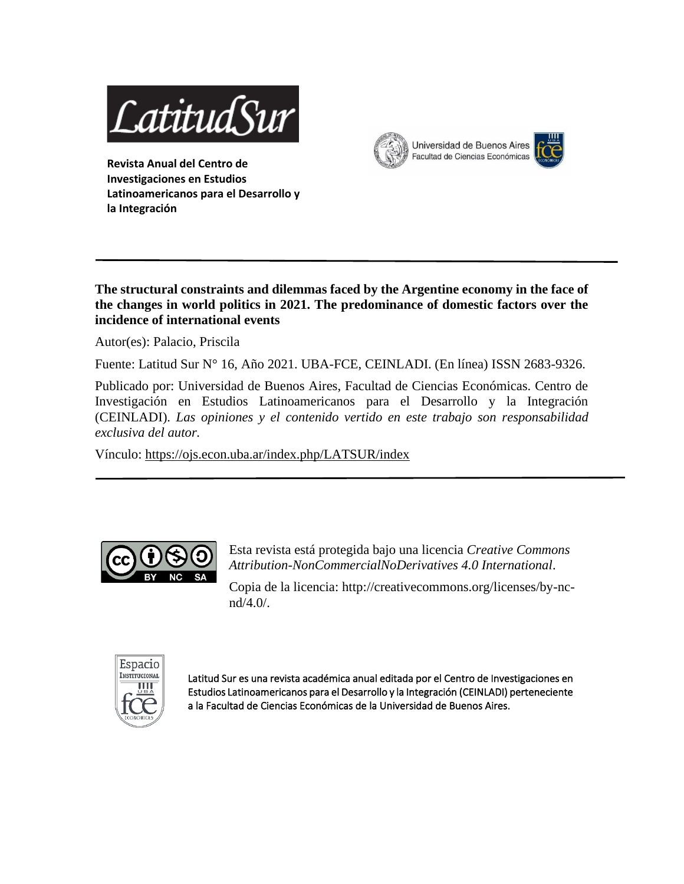SatitudSur



**Revista Anual del Centro de Investigaciones en Estudios Latinoamericanos para el Desarrollo y la Integración**

**The structural constraints and dilemmas faced by the Argentine economy in the face of the changes in world politics in 2021. The predominance of domestic factors over the incidence of international events**

Autor(es): Palacio, Priscila

Fuente: Latitud Sur N° 16, Año 2021. UBA-FCE, CEINLADI. (En línea) ISSN 2683-9326.

Publicado por: Universidad de Buenos Aires, Facultad de Ciencias Económicas. Centro de Investigación en Estudios Latinoamericanos para el Desarrollo y la Integración (CEINLADI). *Las opiniones y el contenido vertido en este trabajo son responsabilidad exclusiva del autor.*

Vínculo:<https://ojs.econ.uba.ar/index.php/LATSUR/index>



Esta revista está protegida bajo una licencia *Creative Commons Attribution-NonCommercialNoDerivatives 4.0 International*.

Copia de la licencia: http://creativecommons.org/licenses/by-ncnd/4.0/.



Latitud Sur es una revista académica anual editada por el Centro de Investigaciones en Estudios Latinoamericanos para el Desarrollo y la Integración (CEINLADI) perteneciente a la Facultad de Ciencias Económicas de la Universidad de Buenos Aires.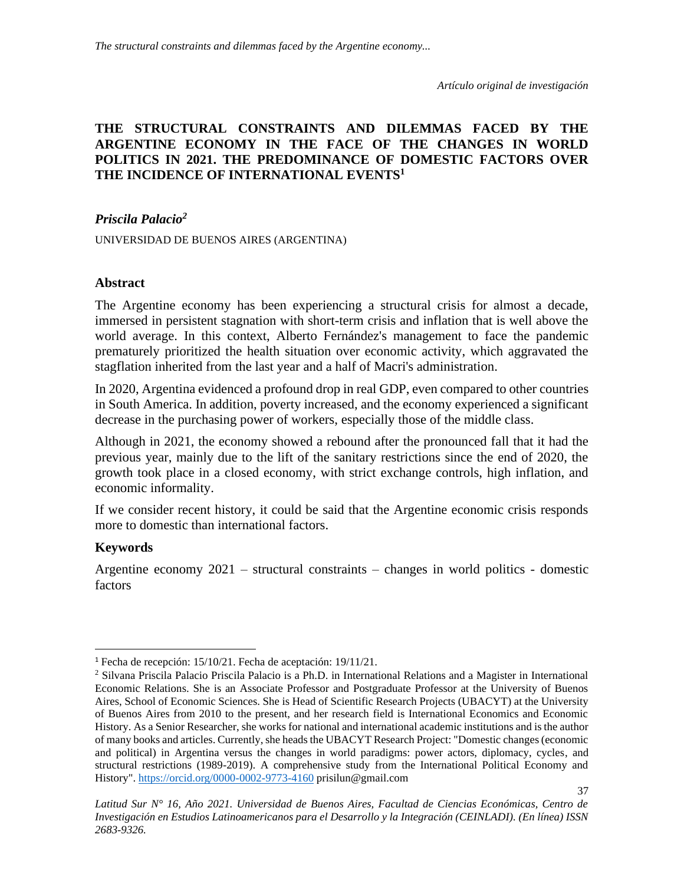*Artículo original de investigación*

## **THE STRUCTURAL CONSTRAINTS AND DILEMMAS FACED BY THE ARGENTINE ECONOMY IN THE FACE OF THE CHANGES IN WORLD POLITICS IN 2021. THE PREDOMINANCE OF DOMESTIC FACTORS OVER THE INCIDENCE OF INTERNATIONAL EVENTS<sup>1</sup>**

### *Priscila Palacio<sup>2</sup>*

UNIVERSIDAD DE BUENOS AIRES (ARGENTINA)

### **Abstract**

The Argentine economy has been experiencing a structural crisis for almost a decade, immersed in persistent stagnation with short-term crisis and inflation that is well above the world average. In this context, Alberto Fernández's management to face the pandemic prematurely prioritized the health situation over economic activity, which aggravated the stagflation inherited from the last year and a half of Macri's administration.

In 2020, Argentina evidenced a profound drop in real GDP, even compared to other countries in South America. In addition, poverty increased, and the economy experienced a significant decrease in the purchasing power of workers, especially those of the middle class.

Although in 2021, the economy showed a rebound after the pronounced fall that it had the previous year, mainly due to the lift of the sanitary restrictions since the end of 2020, the growth took place in a closed economy, with strict exchange controls, high inflation, and economic informality.

If we consider recent history, it could be said that the Argentine economic crisis responds more to domestic than international factors.

### **Keywords**

Argentine economy 2021 – structural constraints – changes in world politics - domestic factors

<sup>1</sup> Fecha de recepción: 15/10/21. Fecha de aceptación: 19/11/21.

<sup>2</sup> Silvana Priscila Palacio Priscila Palacio is a Ph.D. in International Relations and a Magister in International Economic Relations. She is an Associate Professor and Postgraduate Professor at the University of Buenos Aires, School of Economic Sciences. She is Head of Scientific Research Projects (UBACYT) at the University of Buenos Aires from 2010 to the present, and her research field is International Economics and Economic History. As a Senior Researcher, she works for national and international academic institutions and is the author of many books and articles. Currently, she heads the UBACYT Research Project: "Domestic changes (economic and political) in Argentina versus the changes in world paradigms: power actors, diplomacy, cycles, and structural restrictions (1989-2019). A comprehensive study from the International Political Economy and History". <https://orcid.org/0000-0002-9773-4160> [prisilun@gmail.com](mailto:prisilun@gmail.com)

*Latitud Sur N° 16, Año 2021. Universidad de Buenos Aires, Facultad de Ciencias Económicas, Centro de Investigación en Estudios Latinoamericanos para el Desarrollo y la Integración (CEINLADI). (En línea) ISSN 2683-9326.*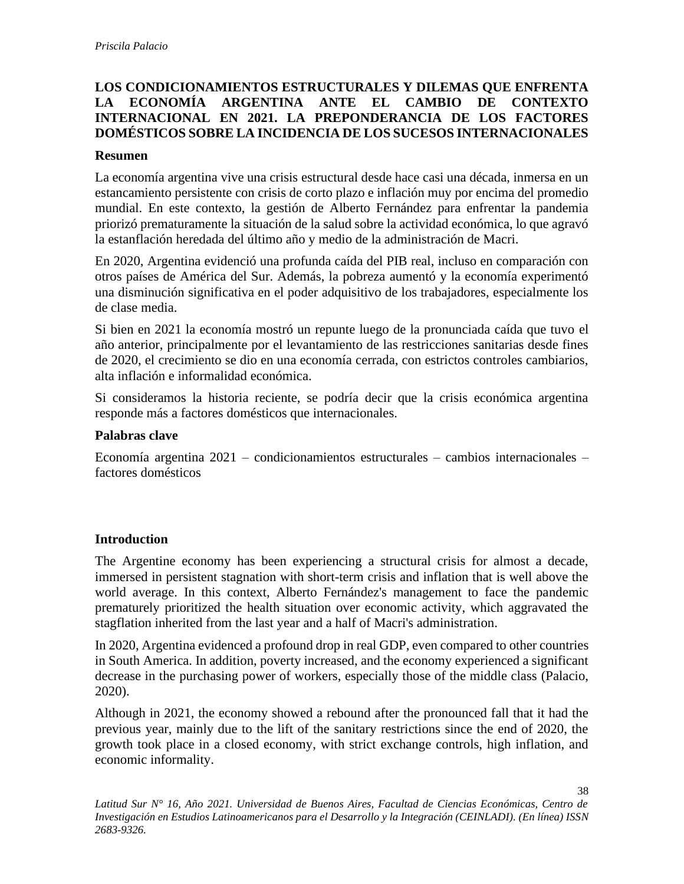# **LOS CONDICIONAMIENTOS ESTRUCTURALES Y DILEMAS QUE ENFRENTA LA ECONOMÍA ARGENTINA ANTE EL CAMBIO DE CONTEXTO INTERNACIONAL EN 2021. LA PREPONDERANCIA DE LOS FACTORES DOMÉSTICOS SOBRE LA INCIDENCIA DE LOS SUCESOS INTERNACIONALES**

## **Resumen**

La economía argentina vive una crisis estructural desde hace casi una década, inmersa en un estancamiento persistente con crisis de corto plazo e inflación muy por encima del promedio mundial. En este contexto, la gestión de Alberto Fernández para enfrentar la pandemia priorizó prematuramente la situación de la salud sobre la actividad económica, lo que agravó la estanflación heredada del último año y medio de la administración de Macri.

En 2020, Argentina evidenció una profunda caída del PIB real, incluso en comparación con otros países de América del Sur. Además, la pobreza aumentó y la economía experimentó una disminución significativa en el poder adquisitivo de los trabajadores, especialmente los de clase media.

Si bien en 2021 la economía mostró un repunte luego de la pronunciada caída que tuvo el año anterior, principalmente por el levantamiento de las restricciones sanitarias desde fines de 2020, el crecimiento se dio en una economía cerrada, con estrictos controles cambiarios, alta inflación e informalidad económica.

Si consideramos la historia reciente, se podría decir que la crisis económica argentina responde más a factores domésticos que internacionales.

### **Palabras clave**

Economía argentina 2021 – condicionamientos estructurales – cambios internacionales – factores domésticos

### **Introduction**

The Argentine economy has been experiencing a structural crisis for almost a decade, immersed in persistent stagnation with short-term crisis and inflation that is well above the world average. In this context, Alberto Fernández's management to face the pandemic prematurely prioritized the health situation over economic activity, which aggravated the stagflation inherited from the last year and a half of Macri's administration.

In 2020, Argentina evidenced a profound drop in real GDP, even compared to other countries in South America. In addition, poverty increased, and the economy experienced a significant decrease in the purchasing power of workers, especially those of the middle class (Palacio, 2020).

Although in 2021, the economy showed a rebound after the pronounced fall that it had the previous year, mainly due to the lift of the sanitary restrictions since the end of 2020, the growth took place in a closed economy, with strict exchange controls, high inflation, and economic informality.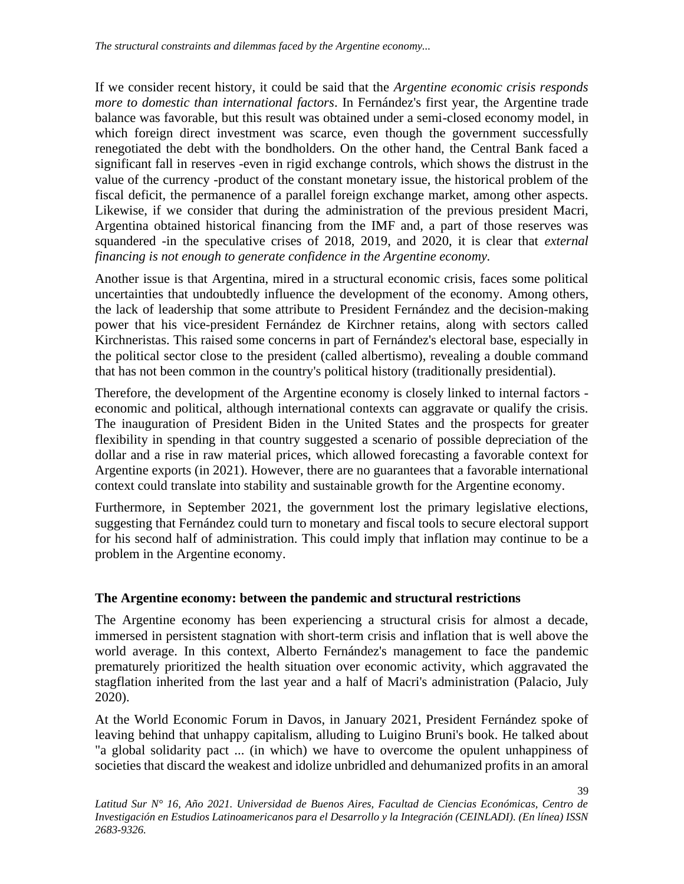If we consider recent history, it could be said that the *Argentine economic crisis responds more to domestic than international factors*. In Fernández's first year, the Argentine trade balance was favorable, but this result was obtained under a semi-closed economy model, in which foreign direct investment was scarce, even though the government successfully renegotiated the debt with the bondholders. On the other hand, the Central Bank faced a significant fall in reserves -even in rigid exchange controls, which shows the distrust in the value of the currency -product of the constant monetary issue, the historical problem of the fiscal deficit, the permanence of a parallel foreign exchange market, among other aspects. Likewise, if we consider that during the administration of the previous president Macri, Argentina obtained historical financing from the IMF and, a part of those reserves was squandered -in the speculative crises of 2018, 2019, and 2020, it is clear that *external financing is not enough to generate confidence in the Argentine economy.*

Another issue is that Argentina, mired in a structural economic crisis, faces some political uncertainties that undoubtedly influence the development of the economy. Among others, the lack of leadership that some attribute to President Fernández and the decision-making power that his vice-president Fernández de Kirchner retains, along with sectors called Kirchneristas. This raised some concerns in part of Fernández's electoral base, especially in the political sector close to the president (called albertismo), revealing a double command that has not been common in the country's political history (traditionally presidential).

Therefore, the development of the Argentine economy is closely linked to internal factors economic and political, although international contexts can aggravate or qualify the crisis. The inauguration of President Biden in the United States and the prospects for greater flexibility in spending in that country suggested a scenario of possible depreciation of the dollar and a rise in raw material prices, which allowed forecasting a favorable context for Argentine exports (in 2021). However, there are no guarantees that a favorable international context could translate into stability and sustainable growth for the Argentine economy.

Furthermore, in September 2021, the government lost the primary legislative elections, suggesting that Fernández could turn to monetary and fiscal tools to secure electoral support for his second half of administration. This could imply that inflation may continue to be a problem in the Argentine economy.

## **The Argentine economy: between the pandemic and structural restrictions**

The Argentine economy has been experiencing a structural crisis for almost a decade, immersed in persistent stagnation with short-term crisis and inflation that is well above the world average. In this context, Alberto Fernández's management to face the pandemic prematurely prioritized the health situation over economic activity, which aggravated the stagflation inherited from the last year and a half of Macri's administration (Palacio, July 2020).

At the World Economic Forum in Davos, in January 2021, President Fernández spoke of leaving behind that unhappy capitalism, alluding to Luigino Bruni's book. He talked about "a global solidarity pact ... (in which) we have to overcome the opulent unhappiness of societies that discard the weakest and idolize unbridled and dehumanized profits in an amoral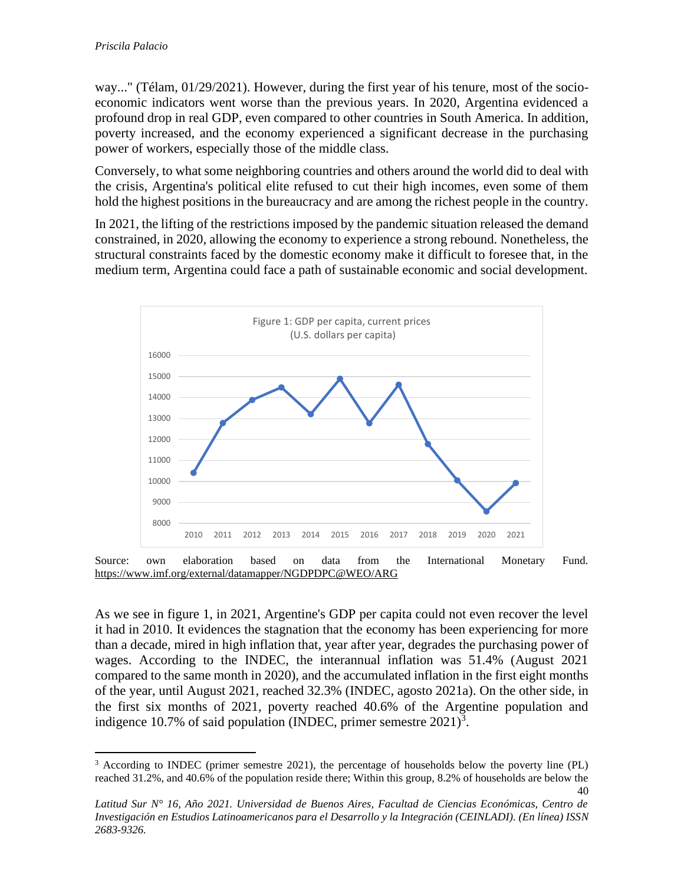way..." (Télam, 01/29/2021). However, during the first year of his tenure, most of the socioeconomic indicators went worse than the previous years. In 2020, Argentina evidenced a profound drop in real GDP, even compared to other countries in South America. In addition, poverty increased, and the economy experienced a significant decrease in the purchasing power of workers, especially those of the middle class.

Conversely, to what some neighboring countries and others around the world did to deal with the crisis, Argentina's political elite refused to cut their high incomes, even some of them hold the highest positions in the bureaucracy and are among the richest people in the country.

In 2021, the lifting of the restrictions imposed by the pandemic situation released the demand constrained, in 2020, allowing the economy to experience a strong rebound. Nonetheless, the structural constraints faced by the domestic economy make it difficult to foresee that, in the medium term, Argentina could face a path of sustainable economic and social development.



Source: own elaboration based on data from the International Monetary Fund. <https://www.imf.org/external/datamapper/NGDPDPC@WEO/ARG>

As we see in figure 1, in 2021, Argentine's GDP per capita could not even recover the level it had in 2010. It evidences the stagnation that the economy has been experiencing for more than a decade, mired in high inflation that, year after year, degrades the purchasing power of wages. According to the INDEC, the interannual inflation was 51.4% (August 2021 compared to the same month in 2020), and the accumulated inflation in the first eight months of the year, until August 2021, reached 32.3% (INDEC, agosto 2021a). On the other side, in the first six months of 2021, poverty reached 40.6% of the Argentine population and indigence 10.7% of said population (INDEC, primer semestre  $2021$ )<sup>3</sup>.

<sup>40</sup> <sup>3</sup> According to INDEC (primer semestre 2021), the percentage of households below the poverty line (PL) reached 31.2%, and 40.6% of the population reside there; Within this group, 8.2% of households are below the

*Latitud Sur N° 16, Año 2021. Universidad de Buenos Aires, Facultad de Ciencias Económicas, Centro de Investigación en Estudios Latinoamericanos para el Desarrollo y la Integración (CEINLADI). (En línea) ISSN 2683-9326.*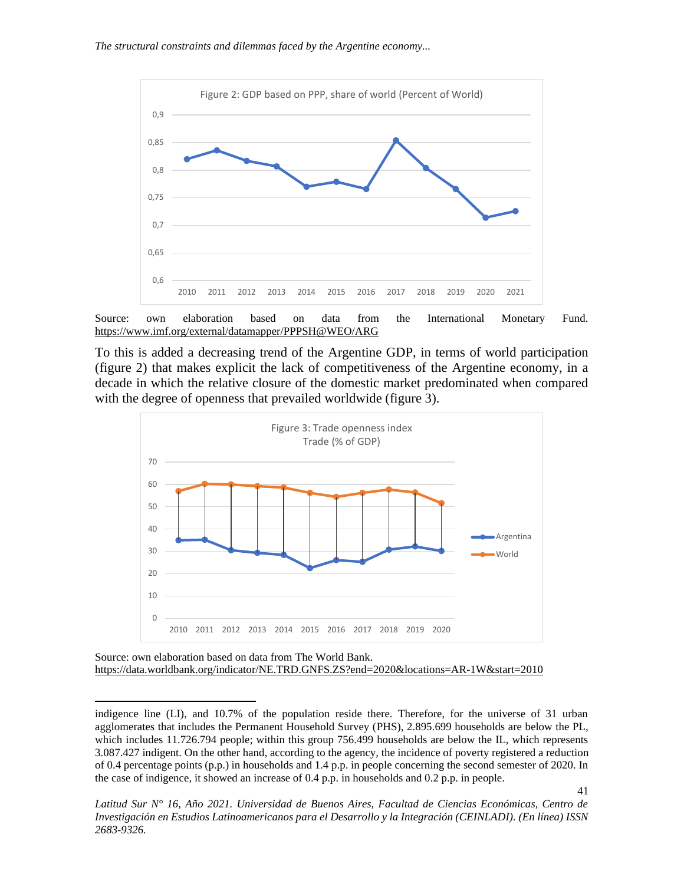

Source: own elaboration based on data from the International Monetary Fund. <https://www.imf.org/external/datamapper/PPPSH@WEO/ARG>

To this is added a decreasing trend of the Argentine GDP, in terms of world participation (figure 2) that makes explicit the lack of competitiveness of the Argentine economy, in a decade in which the relative closure of the domestic market predominated when compared with the degree of openness that prevailed worldwide (figure 3).



Source: own elaboration based on data from The World Bank. <https://data.worldbank.org/indicator/NE.TRD.GNFS.ZS?end=2020&locations=AR-1W&start=2010>

indigence line (LI), and 10.7% of the population reside there. Therefore, for the universe of 31 urban agglomerates that includes the Permanent Household Survey (PHS), 2.895.699 households are below the PL, which includes 11.726.794 people; within this group 756.499 households are below the IL, which represents 3.087.427 indigent. On the other hand, according to the agency, the incidence of poverty registered a reduction of 0.4 percentage points (p.p.) in households and 1.4 p.p. in people concerning the second semester of 2020. In the case of indigence, it showed an increase of 0.4 p.p. in households and 0.2 p.p. in people.

*Latitud Sur N° 16, Año 2021. Universidad de Buenos Aires, Facultad de Ciencias Económicas, Centro de Investigación en Estudios Latinoamericanos para el Desarrollo y la Integración (CEINLADI). (En línea) ISSN 2683-9326.*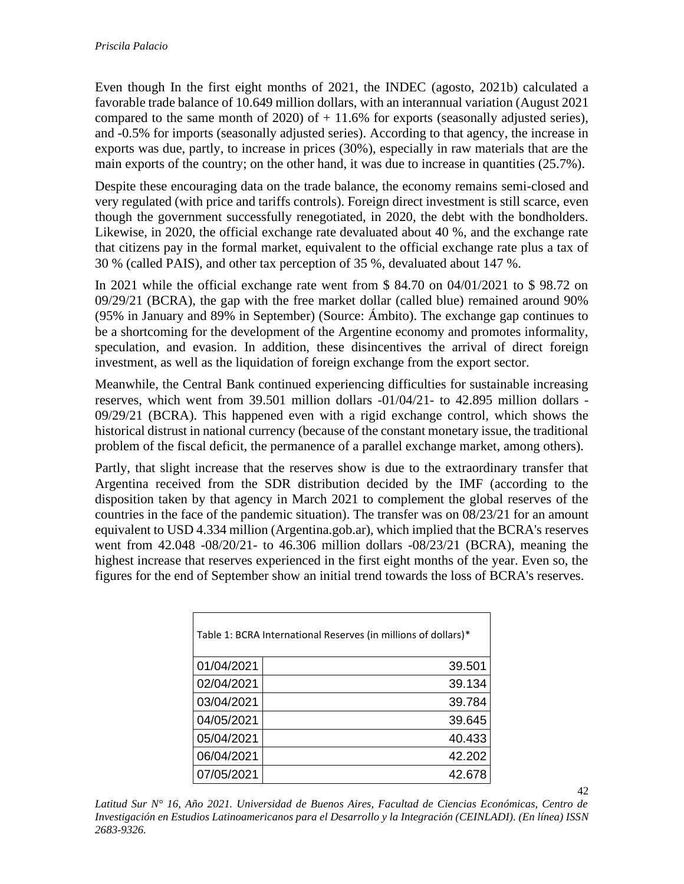Even though In the first eight months of 2021, the INDEC (agosto, 2021b) calculated a favorable trade balance of 10.649 million dollars, with an interannual variation (August 2021 compared to the same month of 2020) of  $+11.6\%$  for exports (seasonally adjusted series), and -0.5% for imports (seasonally adjusted series). According to that agency, the increase in exports was due, partly, to increase in prices (30%), especially in raw materials that are the main exports of the country; on the other hand, it was due to increase in quantities (25.7%).

Despite these encouraging data on the trade balance, the economy remains semi-closed and very regulated (with price and tariffs controls). Foreign direct investment is still scarce, even though the government successfully renegotiated, in 2020, the debt with the bondholders. Likewise, in 2020, the official exchange rate devaluated about 40 %, and the exchange rate that citizens pay in the formal market, equivalent to the official exchange rate plus a tax of 30 % (called PAIS), and other tax perception of 35 %, devaluated about 147 %.

In 2021 while the official exchange rate went from \$ 84.70 on 04/01/2021 to \$ 98.72 on 09/29/21 (BCRA), the gap with the free market dollar (called blue) remained around 90% (95% in January and 89% in September) (Source: Ámbito). The exchange gap continues to be a shortcoming for the development of the Argentine economy and promotes informality, speculation, and evasion. In addition, these disincentives the arrival of direct foreign investment, as well as the liquidation of foreign exchange from the export sector.

Meanwhile, the Central Bank continued experiencing difficulties for sustainable increasing reserves, which went from 39.501 million dollars -01/04/21- to 42.895 million dollars - 09/29/21 (BCRA). This happened even with a rigid exchange control, which shows the historical distrust in national currency (because of the constant monetary issue, the traditional problem of the fiscal deficit, the permanence of a parallel exchange market, among others).

Partly, that slight increase that the reserves show is due to the extraordinary transfer that Argentina received from the SDR distribution decided by the IMF (according to the disposition taken by that agency in March 2021 to complement the global reserves of the countries in the face of the pandemic situation). The transfer was on 08/23/21 for an amount equivalent to USD 4.334 million (Argentina.gob.ar), which implied that the BCRA's reserves went from 42.048 -08/20/21- to 46.306 million dollars -08/23/21 (BCRA), meaning the highest increase that reserves experienced in the first eight months of the year. Even so, the figures for the end of September show an initial trend towards the loss of BCRA's reserves.

| Table 1: BCRA International Reserves (in millions of dollars)* |        |  |
|----------------------------------------------------------------|--------|--|
| 01/04/2021                                                     | 39.501 |  |
| 02/04/2021                                                     | 39.134 |  |
| 03/04/2021                                                     | 39.784 |  |
| 04/05/2021                                                     | 39.645 |  |
| 05/04/2021                                                     | 40.433 |  |
| 06/04/2021                                                     | 42.202 |  |
| 07/05/2021                                                     | 42.678 |  |

*Latitud Sur N° 16, Año 2021. Universidad de Buenos Aires, Facultad de Ciencias Económicas, Centro de Investigación en Estudios Latinoamericanos para el Desarrollo y la Integración (CEINLADI). (En línea) ISSN 2683-9326.* 

42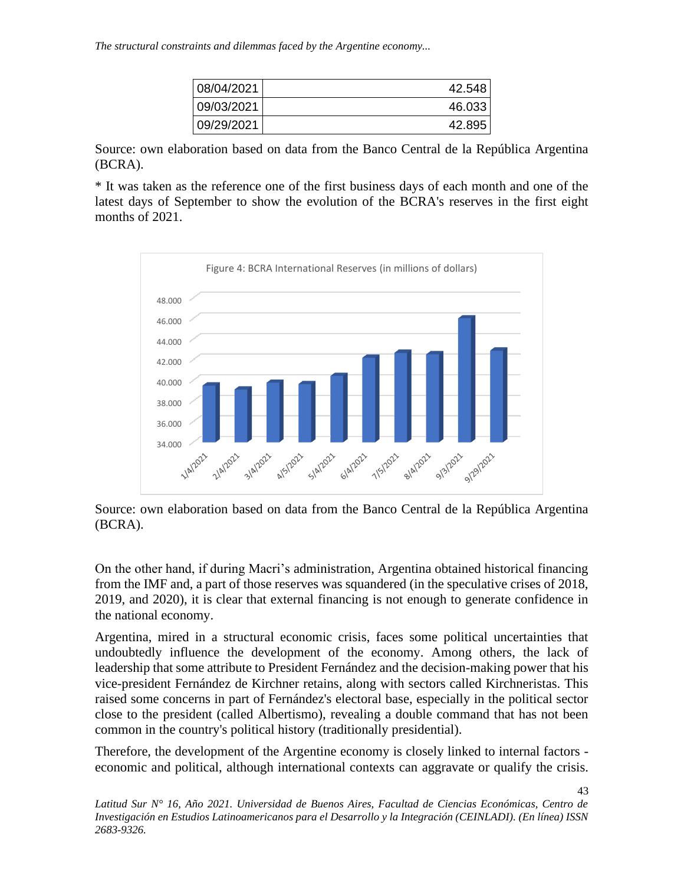*The structural constraints and dilemmas faced by the Argentine economy...*

| 08/04/2021 | 42.548 |
|------------|--------|
| 09/03/2021 | 46.033 |
| 09/29/2021 | 42.895 |

Source: own elaboration based on data from the Banco Central de la República Argentina (BCRA).

\* It was taken as the reference one of the first business days of each month and one of the latest days of September to show the evolution of the BCRA's reserves in the first eight months of 2021.



Source: own elaboration based on data from the Banco Central de la República Argentina (BCRA).

On the other hand, if during Macri's administration, Argentina obtained historical financing from the IMF and, a part of those reserves was squandered (in the speculative crises of 2018, 2019, and 2020), it is clear that external financing is not enough to generate confidence in the national economy.

Argentina, mired in a structural economic crisis, faces some political uncertainties that undoubtedly influence the development of the economy. Among others, the lack of leadership that some attribute to President Fernández and the decision-making power that his vice-president Fernández de Kirchner retains, along with sectors called Kirchneristas. This raised some concerns in part of Fernández's electoral base, especially in the political sector close to the president (called Albertismo), revealing a double command that has not been common in the country's political history (traditionally presidential).

Therefore, the development of the Argentine economy is closely linked to internal factors economic and political, although international contexts can aggravate or qualify the crisis.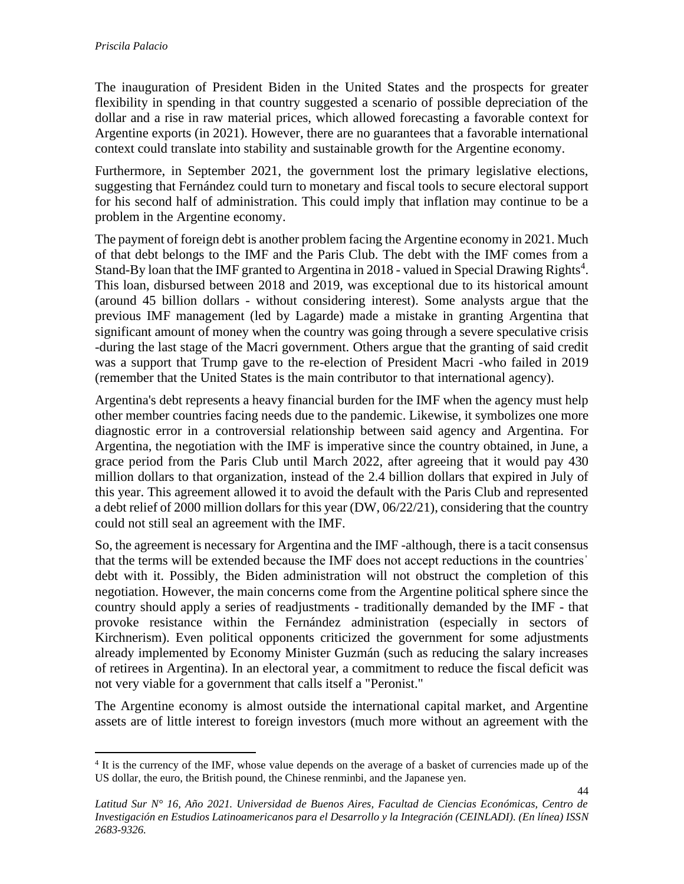The inauguration of President Biden in the United States and the prospects for greater flexibility in spending in that country suggested a scenario of possible depreciation of the dollar and a rise in raw material prices, which allowed forecasting a favorable context for Argentine exports (in 2021). However, there are no guarantees that a favorable international context could translate into stability and sustainable growth for the Argentine economy.

Furthermore, in September 2021, the government lost the primary legislative elections, suggesting that Fernández could turn to monetary and fiscal tools to secure electoral support for his second half of administration. This could imply that inflation may continue to be a problem in the Argentine economy.

The payment of foreign debt is another problem facing the Argentine economy in 2021. Much of that debt belongs to the IMF and the Paris Club. The debt with the IMF comes from a Stand-By loan that the IMF granted to Argentina in 2018 - valued in Special Drawing Rights<sup>4</sup>. This loan, disbursed between 2018 and 2019, was exceptional due to its historical amount (around 45 billion dollars - without considering interest). Some analysts argue that the previous IMF management (led by Lagarde) made a mistake in granting Argentina that significant amount of money when the country was going through a severe speculative crisis -during the last stage of the Macri government. Others argue that the granting of said credit was a support that Trump gave to the re-election of President Macri -who failed in 2019 (remember that the United States is the main contributor to that international agency).

Argentina's debt represents a heavy financial burden for the IMF when the agency must help other member countries facing needs due to the pandemic. Likewise, it symbolizes one more diagnostic error in a controversial relationship between said agency and Argentina. For Argentina, the negotiation with the IMF is imperative since the country obtained, in June, a grace period from the Paris Club until March 2022, after agreeing that it would pay 430 million dollars to that organization, instead of the 2.4 billion dollars that expired in July of this year. This agreement allowed it to avoid the default with the Paris Club and represented a debt relief of 2000 million dollars for this year (DW, 06/22/21), considering that the country could not still seal an agreement with the IMF.

So, the agreement is necessary for Argentina and the IMF -although, there is a tacit consensus that the terms will be extended because the IMF does not accept reductions in the countriesˈ debt with it. Possibly, the Biden administration will not obstruct the completion of this negotiation. However, the main concerns come from the Argentine political sphere since the country should apply a series of readjustments - traditionally demanded by the IMF - that provoke resistance within the Fernández administration (especially in sectors of Kirchnerism). Even political opponents criticized the government for some adjustments already implemented by Economy Minister Guzmán (such as reducing the salary increases of retirees in Argentina). In an electoral year, a commitment to reduce the fiscal deficit was not very viable for a government that calls itself a "Peronist."

The Argentine economy is almost outside the international capital market, and Argentine assets are of little interest to foreign investors (much more without an agreement with the

<sup>4</sup> It is the currency of the IMF, whose value depends on the average of a basket of currencies made up of the US dollar, the euro, the British pound, the Chinese renminbi, and the Japanese yen.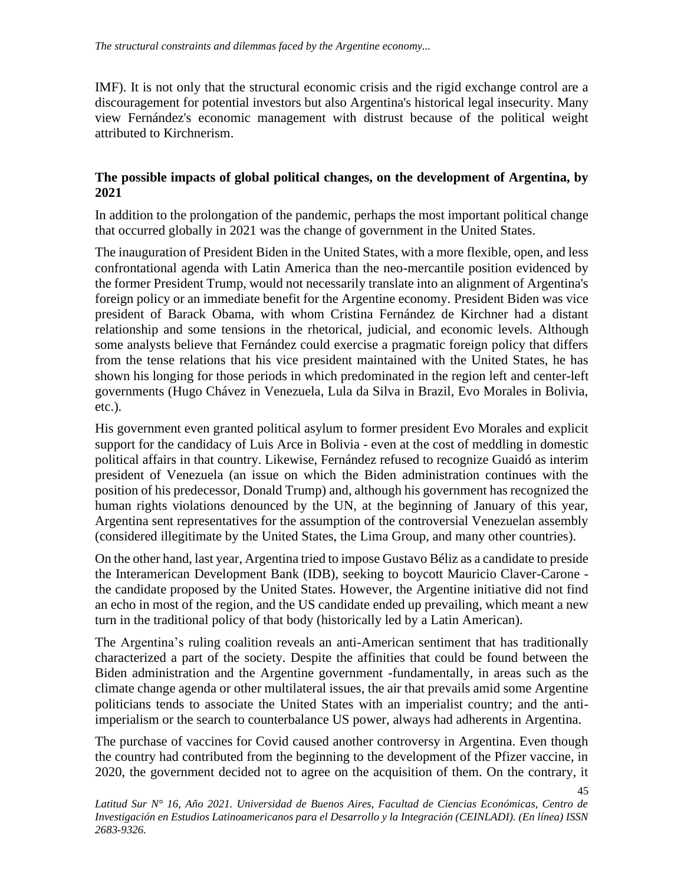IMF). It is not only that the structural economic crisis and the rigid exchange control are a discouragement for potential investors but also Argentina's historical legal insecurity. Many view Fernández's economic management with distrust because of the political weight attributed to Kirchnerism.

## **The possible impacts of global political changes, on the development of Argentina, by 2021**

In addition to the prolongation of the pandemic, perhaps the most important political change that occurred globally in 2021 was the change of government in the United States.

The inauguration of President Biden in the United States, with a more flexible, open, and less confrontational agenda with Latin America than the neo-mercantile position evidenced by the former President Trump, would not necessarily translate into an alignment of Argentina's foreign policy or an immediate benefit for the Argentine economy. President Biden was vice president of Barack Obama, with whom Cristina Fernández de Kirchner had a distant relationship and some tensions in the rhetorical, judicial, and economic levels. Although some analysts believe that Fernández could exercise a pragmatic foreign policy that differs from the tense relations that his vice president maintained with the United States, he has shown his longing for those periods in which predominated in the region left and center-left governments (Hugo Chávez in Venezuela, Lula da Silva in Brazil, Evo Morales in Bolivia, etc.).

His government even granted political asylum to former president Evo Morales and explicit support for the candidacy of Luis Arce in Bolivia - even at the cost of meddling in domestic political affairs in that country. Likewise, Fernández refused to recognize Guaidó as interim president of Venezuela (an issue on which the Biden administration continues with the position of his predecessor, Donald Trump) and, although his government has recognized the human rights violations denounced by the UN, at the beginning of January of this year, Argentina sent representatives for the assumption of the controversial Venezuelan assembly (considered illegitimate by the United States, the Lima Group, and many other countries).

On the other hand, last year, Argentina tried to impose Gustavo Béliz as a candidate to preside the Interamerican Development Bank (IDB), seeking to boycott Mauricio Claver-Carone the candidate proposed by the United States. However, the Argentine initiative did not find an echo in most of the region, and the US candidate ended up prevailing, which meant a new turn in the traditional policy of that body (historically led by a Latin American).

The Argentina's ruling coalition reveals an anti-American sentiment that has traditionally characterized a part of the society. Despite the affinities that could be found between the Biden administration and the Argentine government -fundamentally, in areas such as the climate change agenda or other multilateral issues, the air that prevails amid some Argentine politicians tends to associate the United States with an imperialist country; and the antiimperialism or the search to counterbalance US power, always had adherents in Argentina.

The purchase of vaccines for Covid caused another controversy in Argentina. Even though the country had contributed from the beginning to the development of the Pfizer vaccine, in 2020, the government decided not to agree on the acquisition of them. On the contrary, it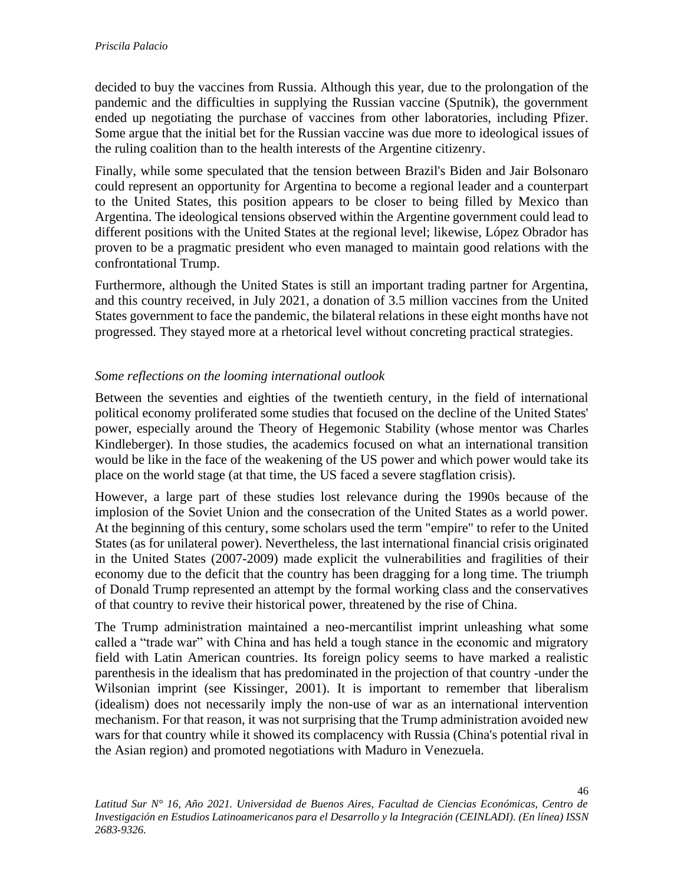decided to buy the vaccines from Russia. Although this year, due to the prolongation of the pandemic and the difficulties in supplying the Russian vaccine (Sputnik), the government ended up negotiating the purchase of vaccines from other laboratories, including Pfizer. Some argue that the initial bet for the Russian vaccine was due more to ideological issues of the ruling coalition than to the health interests of the Argentine citizenry.

Finally, while some speculated that the tension between Brazil's Biden and Jair Bolsonaro could represent an opportunity for Argentina to become a regional leader and a counterpart to the United States, this position appears to be closer to being filled by Mexico than Argentina. The ideological tensions observed within the Argentine government could lead to different positions with the United States at the regional level; likewise, López Obrador has proven to be a pragmatic president who even managed to maintain good relations with the confrontational Trump.

Furthermore, although the United States is still an important trading partner for Argentina, and this country received, in July 2021, a donation of 3.5 million vaccines from the United States government to face the pandemic, the bilateral relations in these eight months have not progressed. They stayed more at a rhetorical level without concreting practical strategies.

## *Some reflections on the looming international outlook*

Between the seventies and eighties of the twentieth century, in the field of international political economy proliferated some studies that focused on the decline of the United States' power, especially around the Theory of Hegemonic Stability (whose mentor was Charles Kindleberger). In those studies, the academics focused on what an international transition would be like in the face of the weakening of the US power and which power would take its place on the world stage (at that time, the US faced a severe stagflation crisis).

However, a large part of these studies lost relevance during the 1990s because of the implosion of the Soviet Union and the consecration of the United States as a world power. At the beginning of this century, some scholars used the term "empire" to refer to the United States (as for unilateral power). Nevertheless, the last international financial crisis originated in the United States (2007-2009) made explicit the vulnerabilities and fragilities of their economy due to the deficit that the country has been dragging for a long time. The triumph of Donald Trump represented an attempt by the formal working class and the conservatives of that country to revive their historical power, threatened by the rise of China.

The Trump administration maintained a neo-mercantilist imprint unleashing what some called a "trade war" with China and has held a tough stance in the economic and migratory field with Latin American countries. Its foreign policy seems to have marked a realistic parenthesis in the idealism that has predominated in the projection of that country -under the Wilsonian imprint (see Kissinger, 2001). It is important to remember that liberalism (idealism) does not necessarily imply the non-use of war as an international intervention mechanism. For that reason, it was not surprising that the Trump administration avoided new wars for that country while it showed its complacency with Russia (China's potential rival in the Asian region) and promoted negotiations with Maduro in Venezuela.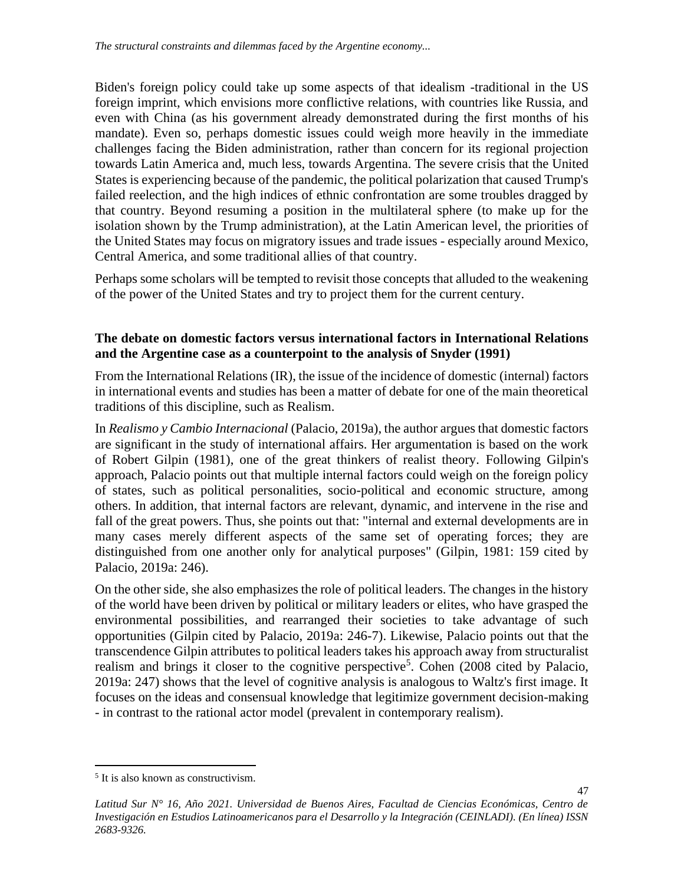Biden's foreign policy could take up some aspects of that idealism -traditional in the US foreign imprint, which envisions more conflictive relations, with countries like Russia, and even with China (as his government already demonstrated during the first months of his mandate). Even so, perhaps domestic issues could weigh more heavily in the immediate challenges facing the Biden administration, rather than concern for its regional projection towards Latin America and, much less, towards Argentina. The severe crisis that the United States is experiencing because of the pandemic, the political polarization that caused Trump's failed reelection, and the high indices of ethnic confrontation are some troubles dragged by that country. Beyond resuming a position in the multilateral sphere (to make up for the isolation shown by the Trump administration), at the Latin American level, the priorities of the United States may focus on migratory issues and trade issues - especially around Mexico, Central America, and some traditional allies of that country.

Perhaps some scholars will be tempted to revisit those concepts that alluded to the weakening of the power of the United States and try to project them for the current century.

## **The debate on domestic factors versus international factors in International Relations and the Argentine case as a counterpoint to the analysis of Snyder (1991)**

From the International Relations (IR), the issue of the incidence of domestic (internal) factors in international events and studies has been a matter of debate for one of the main theoretical traditions of this discipline, such as Realism.

In *Realismo y Cambio Internacional* (Palacio, 2019a), the author argues that domestic factors are significant in the study of international affairs. Her argumentation is based on the work of Robert Gilpin (1981), one of the great thinkers of realist theory. Following Gilpin's approach, Palacio points out that multiple internal factors could weigh on the foreign policy of states, such as political personalities, socio-political and economic structure, among others. In addition, that internal factors are relevant, dynamic, and intervene in the rise and fall of the great powers. Thus, she points out that: "internal and external developments are in many cases merely different aspects of the same set of operating forces; they are distinguished from one another only for analytical purposes" (Gilpin, 1981: 159 cited by Palacio, 2019a: 246).

On the other side, she also emphasizes the role of political leaders. The changes in the history of the world have been driven by political or military leaders or elites, who have grasped the environmental possibilities, and rearranged their societies to take advantage of such opportunities (Gilpin cited by Palacio, 2019a: 246-7). Likewise, Palacio points out that the transcendence Gilpin attributes to political leaders takes his approach away from structuralist realism and brings it closer to the cognitive perspective<sup>5</sup>. Cohen  $(2008 \text{ cited by Palacio},$ 2019a: 247) shows that the level of cognitive analysis is analogous to Waltz's first image. It focuses on the ideas and consensual knowledge that legitimize government decision-making - in contrast to the rational actor model (prevalent in contemporary realism).

47

<sup>5</sup> It is also known as constructivism.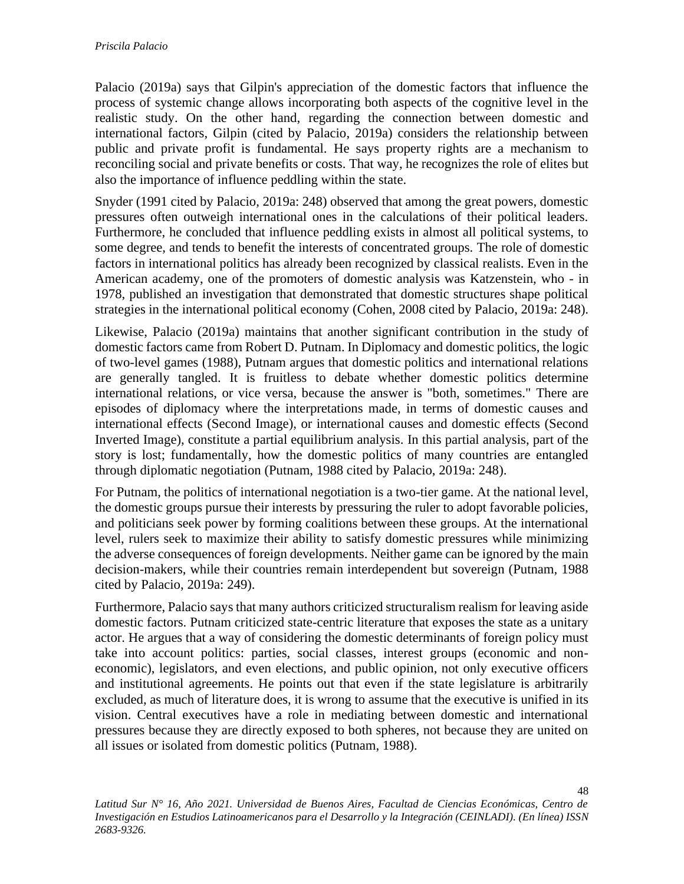Palacio (2019a) says that Gilpin's appreciation of the domestic factors that influence the process of systemic change allows incorporating both aspects of the cognitive level in the realistic study. On the other hand, regarding the connection between domestic and international factors, Gilpin (cited by Palacio, 2019a) considers the relationship between public and private profit is fundamental. He says property rights are a mechanism to reconciling social and private benefits or costs. That way, he recognizes the role of elites but also the importance of influence peddling within the state.

Snyder (1991 cited by Palacio, 2019a: 248) observed that among the great powers, domestic pressures often outweigh international ones in the calculations of their political leaders. Furthermore, he concluded that influence peddling exists in almost all political systems, to some degree, and tends to benefit the interests of concentrated groups. The role of domestic factors in international politics has already been recognized by classical realists. Even in the American academy, one of the promoters of domestic analysis was Katzenstein, who - in 1978, published an investigation that demonstrated that domestic structures shape political strategies in the international political economy (Cohen, 2008 cited by Palacio, 2019a: 248).

Likewise, Palacio (2019a) maintains that another significant contribution in the study of domestic factors came from Robert D. Putnam. In Diplomacy and domestic politics, the logic of two-level games (1988), Putnam argues that domestic politics and international relations are generally tangled. It is fruitless to debate whether domestic politics determine international relations, or vice versa, because the answer is "both, sometimes." There are episodes of diplomacy where the interpretations made, in terms of domestic causes and international effects (Second Image), or international causes and domestic effects (Second Inverted Image), constitute a partial equilibrium analysis. In this partial analysis, part of the story is lost; fundamentally, how the domestic politics of many countries are entangled through diplomatic negotiation (Putnam, 1988 cited by Palacio, 2019a: 248).

For Putnam, the politics of international negotiation is a two-tier game. At the national level, the domestic groups pursue their interests by pressuring the ruler to adopt favorable policies, and politicians seek power by forming coalitions between these groups. At the international level, rulers seek to maximize their ability to satisfy domestic pressures while minimizing the adverse consequences of foreign developments. Neither game can be ignored by the main decision-makers, while their countries remain interdependent but sovereign (Putnam, 1988 cited by Palacio, 2019a: 249).

Furthermore, Palacio says that many authors criticized structuralism realism for leaving aside domestic factors. Putnam criticized state-centric literature that exposes the state as a unitary actor. He argues that a way of considering the domestic determinants of foreign policy must take into account politics: parties, social classes, interest groups (economic and noneconomic), legislators, and even elections, and public opinion, not only executive officers and institutional agreements. He points out that even if the state legislature is arbitrarily excluded, as much of literature does, it is wrong to assume that the executive is unified in its vision. Central executives have a role in mediating between domestic and international pressures because they are directly exposed to both spheres, not because they are united on all issues or isolated from domestic politics (Putnam, 1988).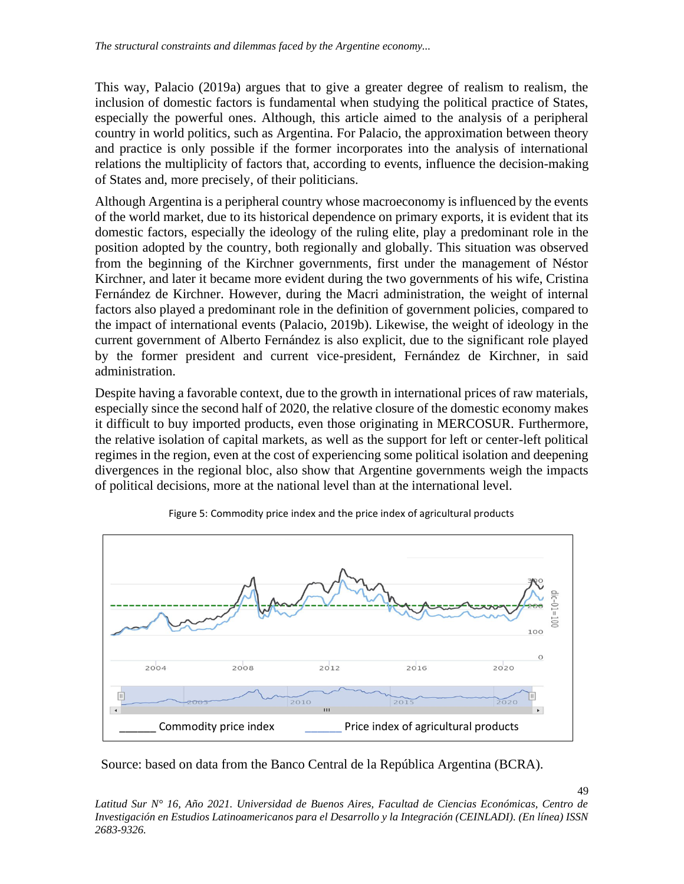This way, Palacio (2019a) argues that to give a greater degree of realism to realism, the inclusion of domestic factors is fundamental when studying the political practice of States, especially the powerful ones. Although, this article aimed to the analysis of a peripheral country in world politics, such as Argentina. For Palacio, the approximation between theory and practice is only possible if the former incorporates into the analysis of international relations the multiplicity of factors that, according to events, influence the decision-making of States and, more precisely, of their politicians.

Although Argentina is a peripheral country whose macroeconomy is influenced by the events of the world market, due to its historical dependence on primary exports, it is evident that its domestic factors, especially the ideology of the ruling elite, play a predominant role in the position adopted by the country, both regionally and globally. This situation was observed from the beginning of the Kirchner governments, first under the management of Néstor Kirchner, and later it became more evident during the two governments of his wife, Cristina Fernández de Kirchner. However, during the Macri administration, the weight of internal factors also played a predominant role in the definition of government policies, compared to the impact of international events (Palacio, 2019b). Likewise, the weight of ideology in the current government of Alberto Fernández is also explicit, due to the significant role played by the former president and current vice-president, Fernández de Kirchner, in said administration.

Despite having a favorable context, due to the growth in international prices of raw materials, especially since the second half of 2020, the relative closure of the domestic economy makes it difficult to buy imported products, even those originating in MERCOSUR. Furthermore, the relative isolation of capital markets, as well as the support for left or center-left political regimes in the region, even at the cost of experiencing some political isolation and deepening divergences in the regional bloc, also show that Argentine governments weigh the impacts of political decisions, more at the national level than at the international level.



Figure 5: Commodity price index and the price index of agricultural products

Source: based on data from the Banco Central de la República Argentina (BCRA).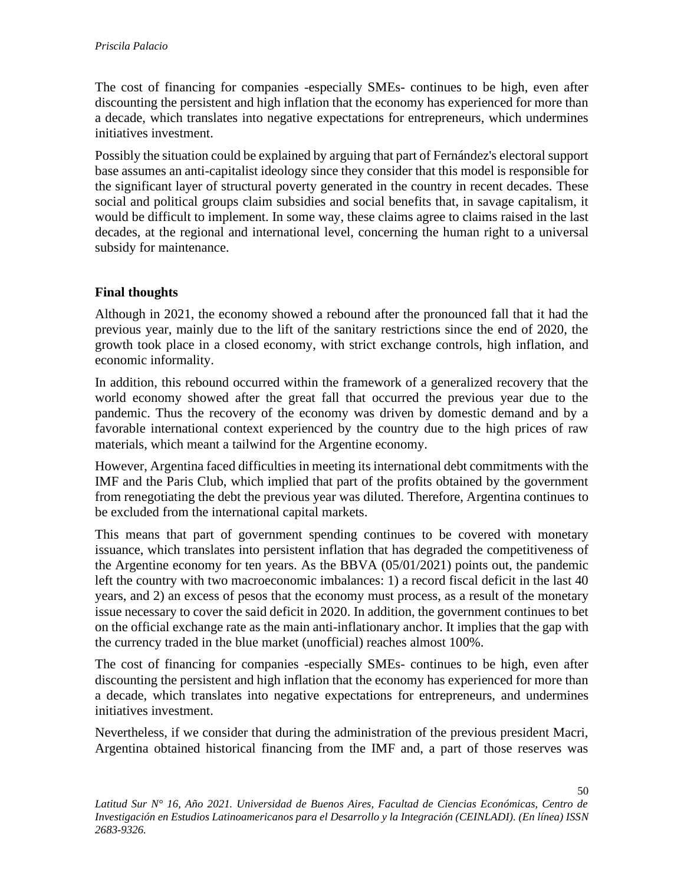The cost of financing for companies -especially SMEs- continues to be high, even after discounting the persistent and high inflation that the economy has experienced for more than a decade, which translates into negative expectations for entrepreneurs, which undermines initiatives investment.

Possibly the situation could be explained by arguing that part of Fernández's electoral support base assumes an anti-capitalist ideology since they consider that this model is responsible for the significant layer of structural poverty generated in the country in recent decades. These social and political groups claim subsidies and social benefits that, in savage capitalism, it would be difficult to implement. In some way, these claims agree to claims raised in the last decades, at the regional and international level, concerning the human right to a universal subsidy for maintenance.

## **Final thoughts**

Although in 2021, the economy showed a rebound after the pronounced fall that it had the previous year, mainly due to the lift of the sanitary restrictions since the end of 2020, the growth took place in a closed economy, with strict exchange controls, high inflation, and economic informality.

In addition, this rebound occurred within the framework of a generalized recovery that the world economy showed after the great fall that occurred the previous year due to the pandemic. Thus the recovery of the economy was driven by domestic demand and by a favorable international context experienced by the country due to the high prices of raw materials, which meant a tailwind for the Argentine economy.

However, Argentina faced difficulties in meeting its international debt commitments with the IMF and the Paris Club, which implied that part of the profits obtained by the government from renegotiating the debt the previous year was diluted. Therefore, Argentina continues to be excluded from the international capital markets.

This means that part of government spending continues to be covered with monetary issuance, which translates into persistent inflation that has degraded the competitiveness of the Argentine economy for ten years. As the BBVA (05/01/2021) points out, the pandemic left the country with two macroeconomic imbalances: 1) a record fiscal deficit in the last 40 years, and 2) an excess of pesos that the economy must process, as a result of the monetary issue necessary to cover the said deficit in 2020. In addition, the government continues to bet on the official exchange rate as the main anti-inflationary anchor. It implies that the gap with the currency traded in the blue market (unofficial) reaches almost 100%.

The cost of financing for companies -especially SMEs- continues to be high, even after discounting the persistent and high inflation that the economy has experienced for more than a decade, which translates into negative expectations for entrepreneurs, and undermines initiatives investment.

Nevertheless, if we consider that during the administration of the previous president Macri, Argentina obtained historical financing from the IMF and, a part of those reserves was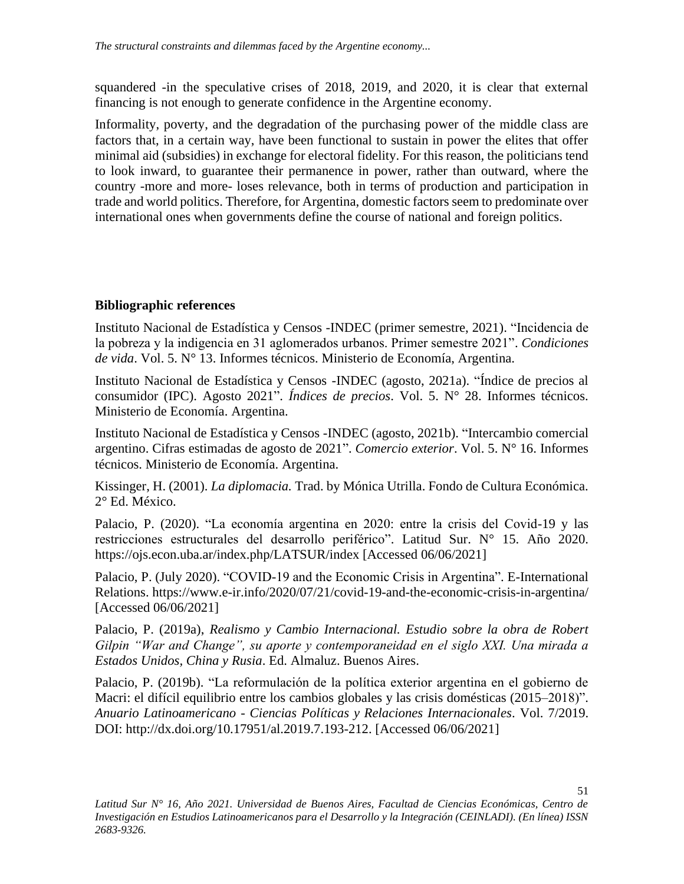squandered -in the speculative crises of 2018, 2019, and 2020, it is clear that external financing is not enough to generate confidence in the Argentine economy.

Informality, poverty, and the degradation of the purchasing power of the middle class are factors that, in a certain way, have been functional to sustain in power the elites that offer minimal aid (subsidies) in exchange for electoral fidelity. For this reason, the politicians tend to look inward, to guarantee their permanence in power, rather than outward, where the country -more and more- loses relevance, both in terms of production and participation in trade and world politics. Therefore, for Argentina, domestic factors seem to predominate over international ones when governments define the course of national and foreign politics.

## **Bibliographic references**

Instituto Nacional de Estadística y Censos -INDEC (primer semestre, 2021). "Incidencia de la pobreza y la indigencia en 31 aglomerados urbanos. Primer semestre 2021". *Condiciones de vida*. Vol. 5. N° 13. Informes técnicos. Ministerio de Economía, Argentina.

Instituto Nacional de Estadística y Censos -INDEC (agosto, 2021a). "Índice de precios al consumidor (IPC). Agosto 2021". *Índices de precios*. Vol. 5. N° 28. Informes técnicos. Ministerio de Economía. Argentina.

Instituto Nacional de Estadística y Censos -INDEC (agosto, 2021b). "Intercambio comercial argentino. Cifras estimadas de agosto de 2021". *Comercio exterior*. Vol. 5. N° 16. Informes técnicos. Ministerio de Economía. Argentina.

Kissinger, H. (2001). *La diplomacia.* Trad. by Mónica Utrilla. Fondo de Cultura Económica. 2° Ed. México.

Palacio, P. (2020). "La economía argentina en 2020: entre la crisis del Covid-19 y las restricciones estructurales del desarrollo periférico". Latitud Sur. N° 15. Año 2020. <https://ojs.econ.uba.ar/index.php/LATSUR/index> [Accessed 06/06/2021]

Palacio, P. (July 2020). "COVID-19 and the Economic Crisis in Argentina". [E-International](https://www.e-ir.info/)  [Relations.](https://www.e-ir.info/)<https://www.e-ir.info/2020/07/21/covid-19-and-the-economic-crisis-in-argentina/> [Accessed 06/06/2021]

Palacio, P. (2019a), *Realismo y Cambio Internacional. Estudio sobre la obra de Robert Gilpin "War and Change", su aporte y contemporaneidad en el siglo XXI. Una mirada a Estados Unidos, China y Rusia*. Ed. Almaluz. Buenos Aires.

Palacio, P. (2019b). "La reformulación de la política exterior argentina en el gobierno de Macri: el difícil equilibrio entre los cambios globales y las crisis domésticas (2015–2018)". *Anuario Latinoamericano - Ciencias Políticas y Relaciones Internacionales*. Vol. 7/2019. DOI: [http://dx.doi.org/10.17951/al.2019.7.193-212.](http://dx.doi.org/10.17951/al.2019.7.193-212) [Accessed 06/06/2021]